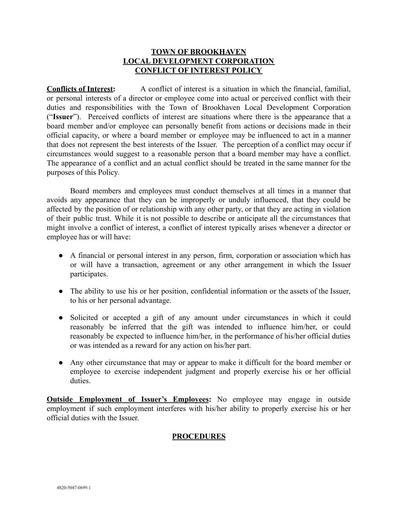## **TOWN OF BROOKHAVEN LOCAL DEVELOPMENT CORPORATION CONFLICT OF INTEREST POLICY**

**Conflicts of Interest:** A conflict of interest is a situation in which the financial, familial, or personal interests of a director or employee come into actual or perceived conflict with their duties and responsibilities with the Town of Brookhaven Local Development Corporation ("**Issuer**"). Perceived conflicts of interest are situations where there is the appearance that a board member and/or employee can personally benefit from actions or decisions made in their official capacity, or where a board member or employee may be influenced to act in a manner that does not represent the best interests of the Issuer. The perception of a conflict may occur if circumstances would suggest to a reasonable person that a board member may have a conflict. The appearance of a conflict and an actual conflict should be treated in the same manner for the purposes of this Policy.

Board members and employees must conduct themselves at all times in a manner that avoids any appearance that they can be improperly or unduly influenced, that they could be affected by the position of or relationship with any other party, or that they are acting in violation of their public trust. While it is not possible to describe or anticipate all the circumstances that might involve a conflict of interest, a conflict of interest typically arises whenever a director or employee has or will have:

- A financial or personal interest in any person, firm, corporation or association which has or will have a transaction, agreement or any other arrangement in which the Issuer participates.
- The ability to use his or her position, confidential information or the assets of the Issuer, to his or her personal advantage.
- Solicited or accepted a gift of any amount under circumstances in which it could reasonably be inferred that the gift was intended to influence him/her, or could reasonably be expected to influence him/her, in the performance of his/her official duties or was intended as a reward for any action on his/her part.
- Any other circumstance that may or appear to make it difficult for the board member or employee to exercise independent judgment and properly exercise his or her official duties.

**Outside Employment of Issuer's Employees:** No employee may engage in outside employment if such employment interferes with his/her ability to properly exercise his or her official duties with the Issuer.

## **PROCEDURES**